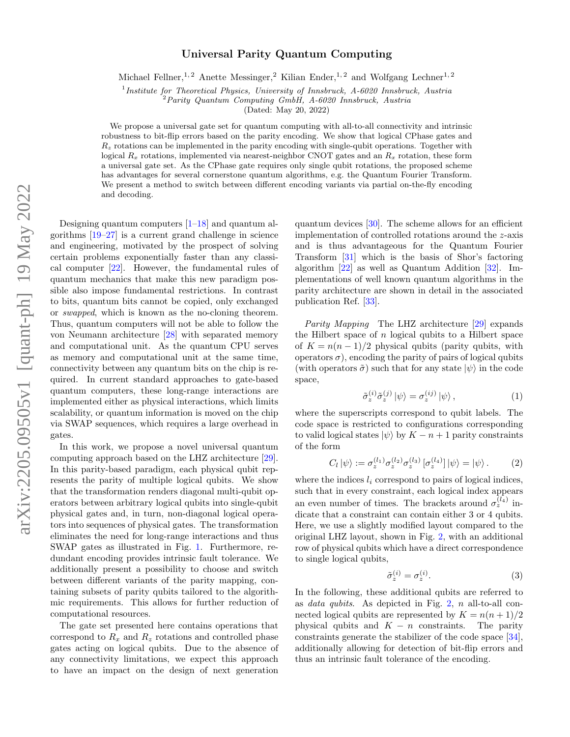## Universal Parity Quantum Computing

Michael Fellner,<sup>1, 2</sup> Anette Messinger,<sup>2</sup> Kilian Ender,<sup>1, 2</sup> and Wolfgang Lechner<sup>1, 2</sup>

<sup>1</sup>Institute for Theoretical Physics, University of Innsbruck, A-6020 Innsbruck, Austria

 $2$ Parity Quantum Computing GmbH, A-6020 Innsbruck, Austria

(Dated: May 20, 2022)

We propose a universal gate set for quantum computing with all-to-all connectivity and intrinsic robustness to bit-flip errors based on the parity encoding. We show that logical CPhase gates and  $R<sub>z</sub>$  rotations can be implemented in the parity encoding with single-qubit operations. Together with logical  $R_x$  rotations, implemented via nearest-neighbor CNOT gates and an  $R_x$  rotation, these form a universal gate set. As the CPhase gate requires only single qubit rotations, the proposed scheme has advantages for several cornerstone quantum algorithms, e.g. the Quantum Fourier Transform. We present a method to switch between different encoding variants via partial on-the-fly encoding and decoding.

Designing quantum computers  $[1-18]$  $[1-18]$  and quantum algorithms [\[19–](#page-4-2)[27\]](#page-4-3) is a current grand challenge in science and engineering, motivated by the prospect of solving certain problems exponentially faster than any classical computer [\[22\]](#page-4-4). However, the fundamental rules of quantum mechanics that make this new paradigm possible also impose fundamental restrictions. In contrast to bits, quantum bits cannot be copied, only exchanged or swapped, which is known as the no-cloning theorem. Thus, quantum computers will not be able to follow the von Neumann architecture [\[28\]](#page-4-5) with separated memory and computational unit. As the quantum CPU serves as memory and computational unit at the same time, connectivity between any quantum bits on the chip is required. In current standard approaches to gate-based quantum computers, these long-range interactions are implemented either as physical interactions, which limits scalability, or quantum information is moved on the chip via SWAP sequences, which requires a large overhead in gates.

In this work, we propose a novel universal quantum computing approach based on the LHZ architecture [\[29\]](#page-4-6). In this parity-based paradigm, each physical qubit represents the parity of multiple logical qubits. We show that the transformation renders diagonal multi-qubit operators between arbitrary logical qubits into single-qubit physical gates and, in turn, non-diagonal logical operators into sequences of physical gates. The transformation eliminates the need for long-range interactions and thus SWAP gates as illustrated in Fig. [1.](#page-1-0) Furthermore, redundant encoding provides intrinsic fault tolerance. We additionally present a possibility to choose and switch between different variants of the parity mapping, containing subsets of parity qubits tailored to the algorithmic requirements. This allows for further reduction of computational resources.

The gate set presented here contains operations that correspond to  $R_x$  and  $R_z$  rotations and controlled phase gates acting on logical qubits. Due to the absence of any connectivity limitations, we expect this approach to have an impact on the design of next generation

quantum devices [\[30\]](#page-4-7). The scheme allows for an efficient implementation of controlled rotations around the z-axis and is thus advantageous for the Quantum Fourier Transform [\[31\]](#page-4-8) which is the basis of Shor's factoring algorithm [\[22\]](#page-4-4) as well as Quantum Addition [\[32\]](#page-4-9). Implementations of well known quantum algorithms in the parity architecture are shown in detail in the associated publication Ref. [\[33\]](#page-4-10).

Parity Mapping The LHZ architecture [\[29\]](#page-4-6) expands the Hilbert space of  $n$  logical qubits to a Hilbert space of  $K = n(n-1)/2$  physical qubits (parity qubits, with operators  $\sigma$ ), encoding the parity of pairs of logical qubits (with operators  $\tilde{\sigma}$ ) such that for any state  $|\psi\rangle$  in the code space,

<span id="page-0-0"></span>
$$
\tilde{\sigma}_z^{(i)} \tilde{\sigma}_z^{(j)} \left| \psi \right\rangle = \sigma_z^{(ij)} \left| \psi \right\rangle, \tag{1}
$$

where the superscripts correspond to qubit labels. The code space is restricted to configurations corresponding to valid logical states  $|\psi\rangle$  by  $K - n + 1$  parity constraints of the form

$$
C_l |\psi\rangle := \sigma_z^{(l_1)} \sigma_z^{(l_2)} \sigma_z^{(l_3)} [\sigma_z^{(l_4)}] |\psi\rangle = |\psi\rangle. \tag{2}
$$

where the indices  $l_i$  correspond to pairs of logical indices, such that in every constraint, each logical index appears an even number of times. The brackets around  $\sigma_z^{(l_4)}$  indicate that a constraint can contain either 3 or 4 qubits. Here, we use a slightly modified layout compared to the original LHZ layout, shown in Fig. [2,](#page-1-1) with an additional row of physical qubits which have a direct correspondence to single logical qubits,

$$
\tilde{\sigma}_z^{(i)} = \sigma_z^{(i)}.\tag{3}
$$

In the following, these additional qubits are referred to as *data qubits*. As depicted in Fig.  $2$ ,  $n$  all-to-all connected logical qubits are represented by  $K = n(n + 1)/2$ physical qubits and  $K - n$  constraints. The parity constraints generate the stabilizer of the code space [\[34\]](#page-4-11), additionally allowing for detection of bit-flip errors and thus an intrinsic fault tolerance of the encoding.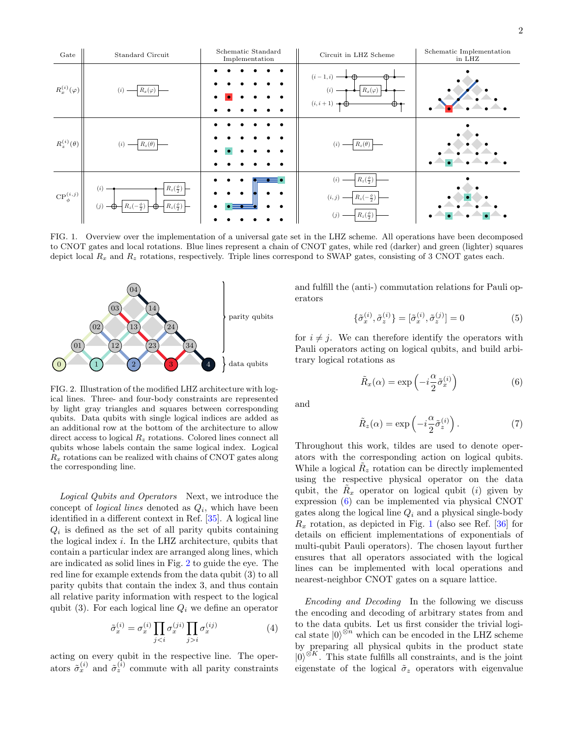

<span id="page-1-0"></span>FIG. 1. Overview over the implementation of a universal gate set in the LHZ scheme. All operations have been decomposed to CNOT gates and local rotations. Blue lines represent a chain of CNOT gates, while red (darker) and green (lighter) squares depict local  $R_x$  and  $R_z$  rotations, respectively. Triple lines correspond to SWAP gates, consisting of 3 CNOT gates each.



<span id="page-1-1"></span>FIG. 2. Illustration of the modified LHZ architecture with logical lines. Three- and four-body constraints are represented by light gray triangles and squares between corresponding qubits. Data qubits with single logical indices are added as an additional row at the bottom of the architecture to allow direct access to logical  $R<sub>z</sub>$  rotations. Colored lines connect all qubits whose labels contain the same logical index. Logical  $R_x$  rotations can be realized with chains of CNOT gates along the corresponding line.

Logical Qubits and Operators Next, we introduce the concept of *logical lines* denoted as  $Q_i$ , which have been identified in a different context in Ref. [\[35\]](#page-4-12). A logical line  $Q_i$  is defined as the set of all parity qubits containing the logical index  $i$ . In the LHZ architecture, qubits that contain a particular index are arranged along lines, which are indicated as solid lines in Fig. [2](#page-1-1) to guide the eye. The red line for example extends from the data qubit (3) to all parity qubits that contain the index 3, and thus contain all relative parity information with respect to the logical qubit (3). For each logical line  $Q_i$  we define an operator

$$
\tilde{\sigma}_x^{(i)} = \sigma_x^{(i)} \prod_{j < i} \sigma_x^{(ji)} \prod_{j > i} \sigma_x^{(ij)} \tag{4}
$$

acting on every qubit in the respective line. The operators  $\tilde{\sigma}_x^{(i)}$  and  $\tilde{\sigma}_z^{(i)}$  commute with all parity constraints and fulfill the (anti-) commutation relations for Pauli operators

$$
\{\tilde{\sigma}_x^{(i)}, \tilde{\sigma}_z^{(i)}\} = [\tilde{\sigma}_x^{(i)}, \tilde{\sigma}_z^{(j)}] = 0 \tag{5}
$$

for  $i \neq j$ . We can therefore identify the operators with Pauli operators acting on logical qubits, and build arbitrary logical rotations as

<span id="page-1-2"></span>
$$
\tilde{R}_x(\alpha) = \exp\left(-i\frac{\alpha}{2}\tilde{\sigma}_x^{(i)}\right) \tag{6}
$$

and

<span id="page-1-3"></span>
$$
\tilde{R}_z(\alpha) = \exp\left(-i\frac{\alpha}{2}\tilde{\sigma}_z^{(i)}\right). \tag{7}
$$

Throughout this work, tildes are used to denote operators with the corresponding action on logical qubits. While a logical  $\tilde{R}_z$  rotation can be directly implemented using the respective physical operator on the data qubit, the  $\tilde{R}_x$  operator on logical qubit (*i*) given by expression [\(6\)](#page-1-2) can be implemented via physical CNOT gates along the logical line  $Q_i$  and a physical single-body  $R_x$  rotation, as depicted in Fig. [1](#page-1-0) (also see Ref. [\[36\]](#page-4-13) for details on efficient implementations of exponentials of multi-qubit Pauli operators). The chosen layout further ensures that all operators associated with the logical lines can be implemented with local operations and nearest-neighbor CNOT gates on a square lattice.

Encoding and Decoding In the following we discuss the encoding and decoding of arbitrary states from and to the data qubits. Let us first consider the trivial logical state  $|0\rangle^{\otimes n}$  which can be encoded in the LHZ scheme by preparing all physical qubits in the product state  $|0\rangle^{\otimes K}$ . This state fulfills all constraints, and is the joint eigenstate of the logical  $\tilde{\sigma}_z$  operators with eigenvalue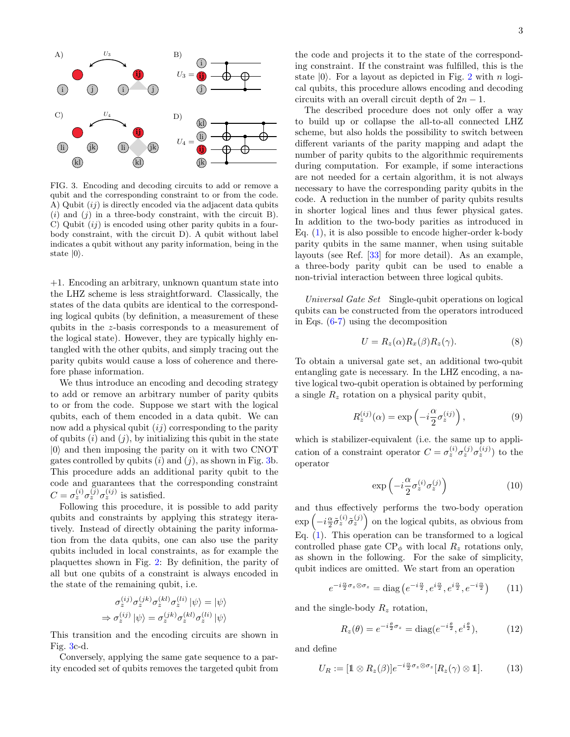

<span id="page-2-0"></span>FIG. 3. Encoding and decoding circuits to add or remove a qubit and the corresponding constraint to or from the code. A) Qubit  $(ij)$  is directly encoded via the adjacent data qubits  $(i)$  and  $(j)$  in a three-body constraint, with the circuit B). C) Qubit  $(ij)$  is encoded using other parity qubits in a fourbody constraint, with the circuit D). A qubit without label indicates a qubit without any parity information, being in the state  $|0\rangle$ .

+1. Encoding an arbitrary, unknown quantum state into the LHZ scheme is less straightforward. Classically, the states of the data qubits are identical to the corresponding logical qubits (by definition, a measurement of these qubits in the z-basis corresponds to a measurement of the logical state). However, they are typically highly entangled with the other qubits, and simply tracing out the parity qubits would cause a loss of coherence and therefore phase information.

We thus introduce an encoding and decoding strategy to add or remove an arbitrary number of parity qubits to or from the code. Suppose we start with the logical qubits, each of them encoded in a data qubit. We can now add a physical qubit  $(ij)$  corresponding to the parity of qubits  $(i)$  and  $(j)$ , by initializing this qubit in the state  $|0\rangle$  and then imposing the parity on it with two CNOT gates controlled by qubits  $(i)$  and  $(j)$ , as shown in Fig. [3b](#page-2-0). This procedure adds an additional parity qubit to the code and guarantees that the corresponding constraint  $C = \sigma_z^{(i)} \sigma_z^{(j)} \sigma_z^{(ij)}$  is satisfied.

Following this procedure, it is possible to add parity qubits and constraints by applying this strategy iteratively. Instead of directly obtaining the parity information from the data qubits, one can also use the parity qubits included in local constraints, as for example the plaquettes shown in Fig. [2:](#page-1-1) By definition, the parity of all but one qubits of a constraint is always encoded in the state of the remaining qubit, i.e.

$$
\sigma_z^{(ij)} \sigma_z^{(jk)} \sigma_z^{(kl)} \sigma_z^{(li)} |\psi\rangle = |\psi\rangle
$$
  
\n
$$
\Rightarrow \sigma_z^{(ij)} |\psi\rangle = \sigma_z^{(jk)} \sigma_z^{(kl)} \sigma_z^{(li)} |\psi\rangle
$$

This transition and the encoding circuits are shown in Fig. [3c](#page-2-0)-d.

Conversely, applying the same gate sequence to a parity encoded set of qubits removes the targeted qubit from

the code and projects it to the state of the corresponding constraint. If the constraint was fulfilled, this is the state  $|0\rangle$ . For a layout as depicted in Fig. [2](#page-1-1) with n logical qubits, this procedure allows encoding and decoding circuits with an overall circuit depth of  $2n - 1$ .

The described procedure does not only offer a way to build up or collapse the all-to-all connected LHZ scheme, but also holds the possibility to switch between different variants of the parity mapping and adapt the number of parity qubits to the algorithmic requirements during computation. For example, if some interactions are not needed for a certain algorithm, it is not always necessary to have the corresponding parity qubits in the code. A reduction in the number of parity qubits results in shorter logical lines and thus fewer physical gates. In addition to the two-body parities as introduced in Eq. [\(1\)](#page-0-0), it is also possible to encode higher-order k-body parity qubits in the same manner, when using suitable layouts (see Ref. [\[33\]](#page-4-10) for more detail). As an example, a three-body parity qubit can be used to enable a non-trivial interaction between three logical qubits.

Universal Gate Set Single-qubit operations on logical qubits can be constructed from the operators introduced in Eqs. [\(6-](#page-1-2)[7\)](#page-1-3) using the decomposition

<span id="page-2-2"></span>
$$
U = R_z(\alpha) R_x(\beta) R_z(\gamma). \tag{8}
$$

To obtain a universal gate set, an additional two-qubit entangling gate is necessary. In the LHZ encoding, a native logical two-qubit operation is obtained by performing a single  $R_z$  rotation on a physical parity qubit,

$$
R_z^{(ij)}(\alpha) = \exp\left(-i\frac{\alpha}{2}\sigma_z^{(ij)}\right),\tag{9}
$$

which is stabilizer-equivalent (i.e. the same up to application of a constraint operator  $C = \sigma_z^{(i)} \sigma_z^{(j)} \sigma_z^{(ij)}$  to the operator

$$
\exp\left(-i\frac{\alpha}{2}\sigma_z^{(i)}\sigma_z^{(j)}\right) \tag{10}
$$

and thus effectively performs the two-body operation  $\exp\left(-i\frac{\alpha}{2}\tilde{\sigma}_z^{(i)}\tilde{\sigma}_z^{(j)}\right)$  on the logical qubits, as obvious from Eq. [\(1\)](#page-0-0). This operation can be transformed to a logical controlled phase gate  $\mathbb{CP}_{\phi}$  with local  $R_z$  rotations only, as shown in the following. For the sake of simplicity, qubit indices are omitted. We start from an operation

$$
e^{-i\frac{\alpha}{2}\sigma_z\otimes\sigma_z} = \text{diag}\left(e^{-i\frac{\alpha}{2}}, e^{i\frac{\alpha}{2}}, e^{i\frac{\alpha}{2}}, e^{-i\frac{\alpha}{2}}\right) \tag{11}
$$

and the single-body  $R_z$  rotation,

$$
R_z(\theta) = e^{-i\frac{\theta}{2}\sigma_z} = \text{diag}(e^{-i\frac{\theta}{2}}, e^{i\frac{\theta}{2}}),\tag{12}
$$

and define

<span id="page-2-1"></span>
$$
U_R := [\mathbb{1} \otimes R_z(\beta)]e^{-i\frac{\alpha}{2}\sigma_z \otimes \sigma_z}[R_z(\gamma) \otimes \mathbb{1}]. \tag{13}
$$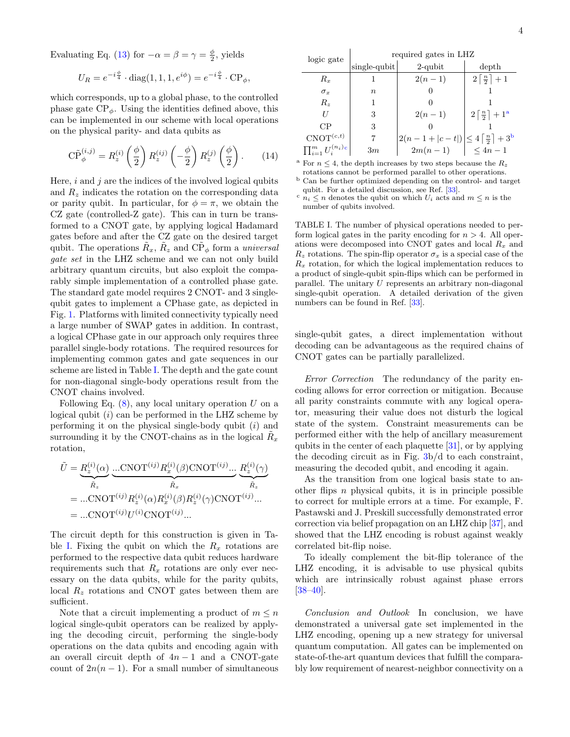Evaluating Eq. [\(13\)](#page-2-1) for  $-\alpha = \beta = \gamma = \frac{\phi}{2}$ , yields

$$
U_R = e^{-i\frac{\phi}{4}} \cdot \text{diag}(1, 1, 1, e^{i\phi}) = e^{-i\frac{\phi}{4}} \cdot \text{CP}_{\phi},
$$

which corresponds, up to a global phase, to the controlled phase gate  $\text{CP}_{\phi}$ . Using the identities defined above, this can be implemented in our scheme with local operations on the physical parity- and data qubits as

$$
\widetilde{\mathrm{CP}}_{\phi}^{(i,j)} = R_z^{(i)} \left(\frac{\phi}{2}\right) R_z^{(ij)} \left(-\frac{\phi}{2}\right) R_z^{(j)} \left(\frac{\phi}{2}\right). \tag{14}
$$

Here,  $i$  and  $j$  are the indices of the involved logical qubits and  $R<sub>z</sub>$  indicates the rotation on the corresponding data or parity qubit. In particular, for  $\phi = \pi$ , we obtain the CZ gate (controlled-Z gate). This can in turn be transformed to a CNOT gate, by applying logical Hadamard gates before and after the CZ gate on the desired target qubit. The operations  $\tilde{R}_x$ ,  $\tilde{R}_z$  and  $\tilde{\text{CP}}_{\phi}$  form a *universal* gate set in the LHZ scheme and we can not only build arbitrary quantum circuits, but also exploit the comparably simple implementation of a controlled phase gate. The standard gate model requires 2 CNOT- and 3 singlequbit gates to implement a CPhase gate, as depicted in Fig. [1.](#page-1-0) Platforms with limited connectivity typically need a large number of SWAP gates in addition. In contrast, a logical CPhase gate in our approach only requires three parallel single-body rotations. The required resources for implementing common gates and gate sequences in our scheme are listed in Table [I.](#page-3-0) The depth and the gate count for non-diagonal single-body operations result from the CNOT chains involved.

Following Eq.  $(8)$ , any local unitary operation U on a logical qubit  $(i)$  can be performed in the LHZ scheme by performing it on the physical single-body qubit  $(i)$  and surrounding it by the CNOT-chains as in the logical  $\tilde{R}_x$ rotation,

$$
\tilde{U} = \underbrace{R_z^{(i)}(\alpha)}_{\tilde{R}_z} \underbrace{\dots \text{CNOT}^{(ij)} R_x^{(i)}(\beta) \text{CNOT}^{(ij)}}_{\tilde{R}_x} \underbrace{R_z^{(i)}(\gamma)}_{\tilde{R}_z}
$$
\n
$$
= \dots \text{CNOT}^{(ij)} R_z^{(i)}(\alpha) R_x^{(i)}(\beta) R_z^{(i)}(\gamma) \text{CNOT}^{(ij)}...
$$
\n
$$
= \dots \text{CNOT}^{(ij)} U^{(i)} \text{CNOT}^{(ij)}...
$$

The circuit depth for this construction is given in Ta-ble [I.](#page-3-0) Fixing the qubit on which the  $R_x$  rotations are performed to the respective data qubit reduces hardware requirements such that  $R_x$  rotations are only ever necessary on the data qubits, while for the parity qubits, local  $R<sub>z</sub>$  rotations and CNOT gates between them are sufficient.

Note that a circuit implementing a product of  $m \leq n$ logical single-qubit operators can be realized by applying the decoding circuit, performing the single-body operations on the data qubits and encoding again with an overall circuit depth of  $4n - 1$  and a CNOT-gate count of  $2n(n-1)$ . For a small number of simultaneous

| logic gate                  | required gates in LHZ |                                                                                                          |                                    |
|-----------------------------|-----------------------|----------------------------------------------------------------------------------------------------------|------------------------------------|
|                             | $sing$ le-qubit       | $2$ -qubit                                                                                               | depth                              |
| $R_{r}$                     |                       | $2(n-1)$                                                                                                 | $2\lceil\frac{n}{2}\rceil+1$       |
| $\sigma_r$                  | $\boldsymbol{n}$      |                                                                                                          |                                    |
| $R_{\rm z}$                 |                       |                                                                                                          |                                    |
| H                           | 3                     | $2(n-1)$                                                                                                 | $2\lceil \frac{n}{2} \rceil + 1^a$ |
| CР                          | 3                     |                                                                                                          |                                    |
| $CNOT^{(c,t)}$              |                       | $\left  \frac{2(n-1+ c-t )}{2m(n-1)} \right  \leq 4 \left[ \frac{n}{2} \right] + 3^{b}$<br>$\leq 4n - 1$ |                                    |
| $\prod_{i=1}^m U_i^{(n_i)}$ | 3m                    |                                                                                                          |                                    |

<span id="page-3-1"></span><sup>a</sup> For  $n \leq 4$ , the depth increases by two steps because the  $R_z$ rotations cannot be performed parallel to other operations.

<span id="page-3-2"></span><sup>b</sup> Can be further optimized depending on the control- and target qubit. For a detailed discussion, see Ref. [\[33\]](#page-4-10).

<span id="page-3-3"></span> $c \overline{n_i} \leq n$  denotes the qubit on which  $U_i$  acts and  $m \leq n$  is the number of qubits involved.

<span id="page-3-0"></span>TABLE I. The number of physical operations needed to perform logical gates in the parity encoding for  $n > 4$ . All operations were decomposed into CNOT gates and local  $R_x$  and  $R_z$  rotations. The spin-flip operator  $\sigma_x$  is a special case of the  $R_x$  rotation, for which the logical implementation reduces to a product of single-qubit spin-flips which can be performed in parallel. The unitary  $U$  represents an arbitrary non-diagonal single-qubit operation. A detailed derivation of the given numbers can be found in Ref. [\[33\]](#page-4-10).

single-qubit gates, a direct implementation without decoding can be advantageous as the required chains of CNOT gates can be partially parallelized.

Error Correction The redundancy of the parity encoding allows for error correction or mitigation. Because all parity constraints commute with any logical operator, measuring their value does not disturb the logical state of the system. Constraint measurements can be performed either with the help of ancillary measurement qubits in the center of each plaquette [\[31\]](#page-4-8), or by applying the decoding circuit as in Fig. [3b](#page-2-0)/d to each constraint, measuring the decoded qubit, and encoding it again.

As the transition from one logical basis state to another flips  $n$  physical qubits, it is in principle possible to correct for multiple errors at a time. For example, F. Pastawski and J. Preskill successfully demonstrated error correction via belief propagation on an LHZ chip [\[37\]](#page-4-14), and showed that the LHZ encoding is robust against weakly correlated bit-flip noise.

To ideally complement the bit-flip tolerance of the LHZ encoding, it is advisable to use physical qubits which are intrinsically robust against phase errors [\[38–](#page-4-15)[40\]](#page-5-0).

Conclusion and Outlook In conclusion, we have demonstrated a universal gate set implemented in the LHZ encoding, opening up a new strategy for universal quantum computation. All gates can be implemented on state-of-the-art quantum devices that fulfill the comparably low requirement of nearest-neighbor connectivity on a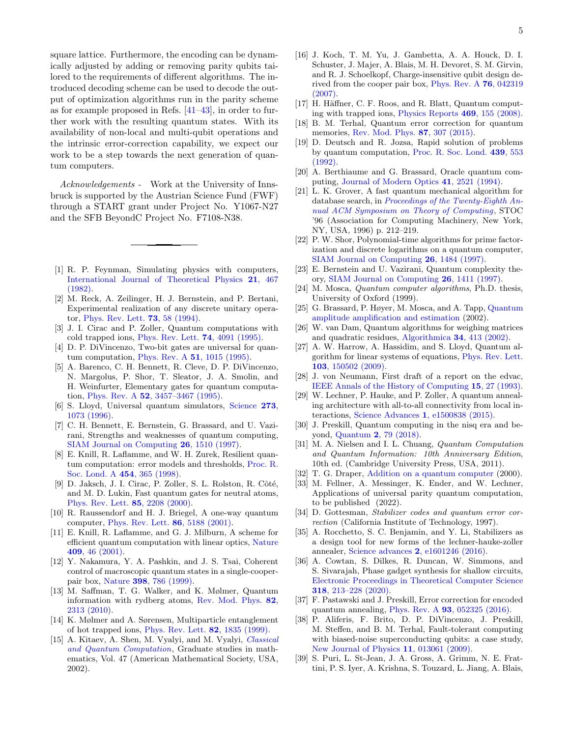square lattice. Furthermore, the encoding can be dynamically adjusted by adding or removing parity qubits tailored to the requirements of different algorithms. The introduced decoding scheme can be used to decode the output of optimization algorithms run in the parity scheme as for example proposed in Refs. [\[41–](#page-5-1)[43\]](#page-5-2), in order to further work with the resulting quantum states. With its availability of non-local and multi-qubit operations and the intrinsic error-correction capability, we expect our work to be a step towards the next generation of quantum computers.

Acknowledgements - Work at the University of Innsbruck is supported by the Austrian Science Fund (FWF) through a START grant under Project No. Y1067-N27 and the SFB BeyondC Project No. F7108-N38.

- <span id="page-4-0"></span>[1] R. P. Feynman, Simulating physics with computers, [International Journal of Theoretical Physics](https://doi.org/10.1007/BF02650179) 21, 467 [\(1982\).](https://doi.org/10.1007/BF02650179)
- [2] M. Reck, A. Zeilinger, H. J. Bernstein, and P. Bertani, Experimental realization of any discrete unitary operator, [Phys. Rev. Lett.](https://link.aps.org/doi/10.1103/PhysRevLett.73.58) 73, 58 (1994).
- [3] J. I. Cirac and P. Zoller, Quantum computations with cold trapped ions, [Phys. Rev. Lett.](https://link.aps.org/doi/10.1103/PhysRevLett.74.4091) 74, 4091 (1995).
- [4] D. P. DiVincenzo, Two-bit gates are universal for quantum computation, Phys. Rev. A 51[, 1015 \(1995\).](https://doi.org/10.1103%2Fphysreva.51.1015)
- [5] A. Barenco, C. H. Bennett, R. Cleve, D. P. DiVincenzo, N. Margolus, P. Shor, T. Sleator, J. A. Smolin, and H. Weinfurter, Elementary gates for quantum computation, Phys. Rev. A 52[, 3457–3467 \(1995\).](https://doi.org/10.1103/physreva.52.3457)
- [6] S. Lloyd, Universal quantum simulators, [Science](https://www.science.org/doi/abs/10.1126/science.273.5278.1073) 273, [1073 \(1996\).](https://www.science.org/doi/abs/10.1126/science.273.5278.1073)
- [7] C. H. Bennett, E. Bernstein, G. Brassard, and U. Vazirani, Strengths and weaknesses of quantum computing, [SIAM Journal on Computing](https://doi.org/10.1137%2Fs0097539796300933) 26, 1510 (1997).
- [8] E. Knill, R. Laflamme, and W. H. Zurek, Resilient quantum computation: error models and thresholds, [Proc. R.](https://doi.org/10.1098/rspa.1998.0166) [Soc. Lond. A](https://doi.org/10.1098/rspa.1998.0166) 454, 365 (1998).
- [9] D. Jaksch, J. I. Cirac, P. Zoller, S. L. Rolston, R. Côté, and M. D. Lukin, Fast quantum gates for neutral atoms, [Phys. Rev. Lett.](https://doi.org/10.1103/PhysRevLett.85.2208) 85, 2208 (2000).
- [10] R. Raussendorf and H. J. Briegel, A one-way quantum computer, [Phys. Rev. Lett.](https://doi.org/10.1103/PhysRevLett.86.5188) 86, 5188 (2001).
- [11] E. Knill, R. Laflamme, and G. J. Milburn, A scheme for efficient quantum computation with linear optics, [Nature](https://doi.org/10.1038/35051009) 409[, 46 \(2001\).](https://doi.org/10.1038/35051009)
- [12] Y. Nakamura, Y. A. Pashkin, and J. S. Tsai, Coherent control of macroscopic quantum states in a single-cooperpair box, Nature 398[, 786 \(1999\).](https://doi.org/10.1038/19718)
- [13] M. Saffman, T. G. Walker, and K. Mølmer, Quantum information with rydberg atoms, [Rev. Mod. Phys.](https://doi.org/10.1103/RevModPhys.82.2313) 82, [2313 \(2010\).](https://doi.org/10.1103/RevModPhys.82.2313)
- [14] K. Mølmer and A. Sørensen, Multiparticle entanglement of hot trapped ions, [Phys. Rev. Lett.](https://doi.org/10.1103/PhysRevLett.82.1835) 82, 1835 (1999).
- [15] A. Kitaev, A. Shen, M. Vyalyi, and M. Vyalyi, [Classical](https://books.google.at/books?id=08vZYhafYEAC) [and Quantum Computation](https://books.google.at/books?id=08vZYhafYEAC), Graduate studies in mathematics, Vol. 47 (American Mathematical Society, USA, 2002).
- [16] J. Koch, T. M. Yu, J. Gambetta, A. A. Houck, D. I. Schuster, J. Majer, A. Blais, M. H. Devoret, S. M. Girvin, and R. J. Schoelkopf, Charge-insensitive qubit design derived from the cooper pair box, [Phys. Rev. A](https://doi.org/10.1103/PhysRevA.76.042319) 76, 042319 [\(2007\).](https://doi.org/10.1103/PhysRevA.76.042319)
- [17] H. Häffner, C. F. Roos, and R. Blatt, Quantum computing with trapped ions, [Physics Reports](https://doi.org/10.1016/j.physrep.2008.09.003) 469, 155 (2008).
- <span id="page-4-1"></span>[18] B. M. Terhal, Quantum error correction for quantum memories, [Rev. Mod. Phys.](https://doi.org/10.1103/RevModPhys.87.307) 87, 307 (2015).
- <span id="page-4-2"></span>[19] D. Deutsch and R. Jozsa, Rapid solution of problems by quantum computation, [Proc. R. Soc. Lond.](https://doi.org/10.1098/rspa.1992.0167) 439, 553 [\(1992\).](https://doi.org/10.1098/rspa.1992.0167)
- [20] A. Berthiaume and G. Brassard, Oracle quantum computing, [Journal of Modern Optics](https://doi.org/10.1080/09500349414552351) 41, 2521 (1994).
- [21] L. K. Grover, A fast quantum mechanical algorithm for database search, in *[Proceedings of the Twenty-Eighth An](https://doi.org/10.1145/237814.237866)*[nual ACM Symposium on Theory of Computing](https://doi.org/10.1145/237814.237866), STOC '96 (Association for Computing Machinery, New York, NY, USA, 1996) p. 212–219.
- <span id="page-4-4"></span>[22] P. W. Shor, Polynomial-time algorithms for prime factorization and discrete logarithms on a quantum computer, [SIAM Journal on Computing](https://doi.org/10.1137/s0097539795293172) 26, 1484 (1997).
- [23] E. Bernstein and U. Vazirani, Quantum complexity theory, [SIAM Journal on Computing](https://doi.org/10.1137/S0097539796300921) 26, 1411 (1997).
- [24] M. Mosca, *Quantum computer algorithms*, Ph.D. thesis, University of Oxford (1999).
- [25] G. Brassard, P. Høyer, M. Mosca, and A. Tapp, [Quantum](https://doi.org/10.1090%2Fconm%2F305%2F05215) [amplitude amplification and estimation](https://doi.org/10.1090%2Fconm%2F305%2F05215) (2002).
- [26] W. van Dam, Quantum algorithms for weighing matrices and quadratic residues, [Algorithmica](https://doi.org/10.1007%2Fs00453-002-0975-4) 34, 413 (2002).
- <span id="page-4-3"></span>[27] A. W. Harrow, A. Hassidim, and S. Lloyd, Quantum algorithm for linear systems of equations, [Phys. Rev. Lett.](https://doi.org/10.1103/PhysRevLett.103.150502) 103[, 150502 \(2009\).](https://doi.org/10.1103/PhysRevLett.103.150502)
- <span id="page-4-5"></span>[28] J. von Neumann, First draft of a report on the edvac, [IEEE Annals of the History of Computing](https://doi.org/10.1109/85.238389) 15, 27 (1993).
- <span id="page-4-6"></span>[29] W. Lechner, P. Hauke, and P. Zoller, A quantum annealing architecture with all-to-all connectivity from local interactions, Science Advances 1[, e1500838 \(2015\).](https://doi.org/10.1126/sciadv.1500838)
- <span id="page-4-7"></span>[30] J. Preskill, Quantum computing in the nisq era and beyond, Quantum 2[, 79 \(2018\).](http://dx.doi.org/10.22331/q-2018-08-06-79)
- <span id="page-4-8"></span>[31] M. A. Nielsen and I. L. Chuang, Quantum Computation and Quantum Information: 10th Anniversary Edition, 10th ed. (Cambridge University Press, USA, 2011).
- <span id="page-4-9"></span>[32] T. G. Draper, [Addition on a quantum computer](https://doi.org/10.48550/ARXIV.QUANT-PH/0008033) (2000).
- <span id="page-4-10"></span>[33] M. Fellner, A. Messinger, K. Ender, and W. Lechner, Applications of universal parity quantum computation, to be published (2022).
- <span id="page-4-11"></span>[34] D. Gottesman, Stabilizer codes and quantum error correction (California Institute of Technology, 1997).
- <span id="page-4-12"></span>[35] A. Rocchetto, S. C. Benjamin, and Y. Li, Stabilizers as a design tool for new forms of the lechner-hauke-zoller annealer, Science advances 2[, e1601246 \(2016\).](https://doi.org/10.1126/sciadv.1601246)
- <span id="page-4-13"></span>[36] A. Cowtan, S. Dilkes, R. Duncan, W. Simmons, and S. Sivarajah, Phase gadget synthesis for shallow circuits, [Electronic Proceedings in Theoretical Computer Science](https://doi.org/10.4204/eptcs.318.13) 318[, 213–228 \(2020\).](https://doi.org/10.4204/eptcs.318.13)
- <span id="page-4-14"></span>[37] F. Pastawski and J. Preskill, Error correction for encoded quantum annealing, Phys. Rev. A 93[, 052325 \(2016\).](https://doi.org/10.1103/PhysRevA.93.052325)
- <span id="page-4-15"></span>[38] P. Aliferis, F. Brito, D. P. DiVincenzo, J. Preskill, M. Steffen, and B. M. Terhal, Fault-tolerant computing with biased-noise superconducting qubits: a case study, [New Journal of Physics](https://doi.org/10.1088/1367-2630/11/1/013061) 11, 013061 (2009).
- [39] S. Puri, L. St-Jean, J. A. Gross, A. Grimm, N. E. Frattini, P. S. Iyer, A. Krishna, S. Touzard, L. Jiang, A. Blais,